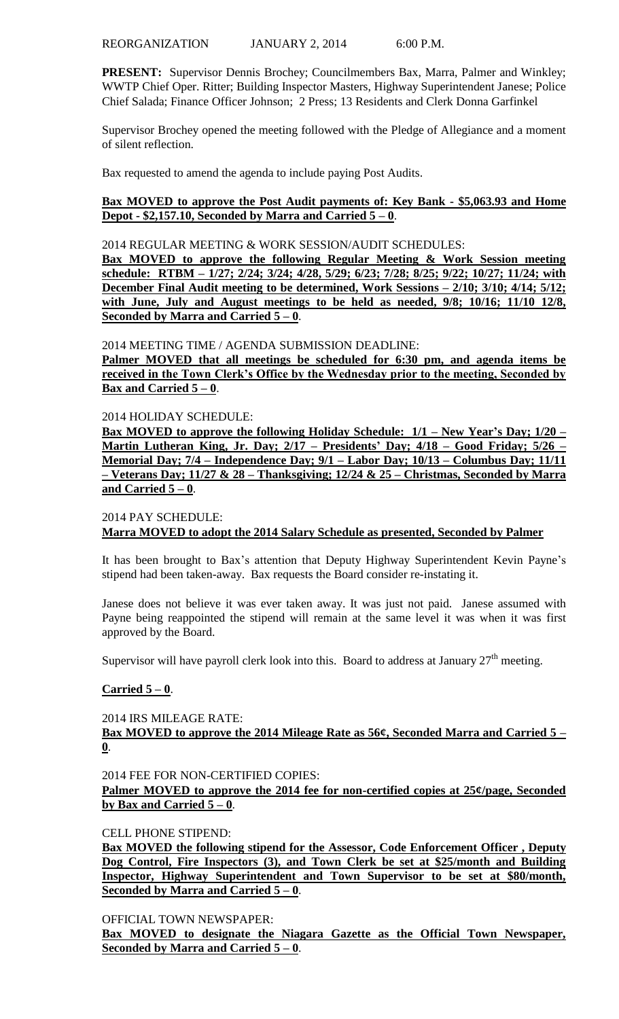**PRESENT:** Supervisor Dennis Brochey; Councilmembers Bax, Marra, Palmer and Winkley; WWTP Chief Oper. Ritter; Building Inspector Masters, Highway Superintendent Janese; Police Chief Salada; Finance Officer Johnson; 2 Press; 13 Residents and Clerk Donna Garfinkel

Supervisor Brochey opened the meeting followed with the Pledge of Allegiance and a moment of silent reflection.

Bax requested to amend the agenda to include paying Post Audits.

## **Bax MOVED to approve the Post Audit payments of: Key Bank - \$5,063.93 and Home Depot - \$2,157.10, Seconded by Marra and Carried 5 – 0**.

#### 2014 REGULAR MEETING & WORK SESSION/AUDIT SCHEDULES:

**Bax MOVED to approve the following Regular Meeting & Work Session meeting schedule: RTBM – 1/27; 2/24; 3/24; 4/28, 5/29; 6/23; 7/28; 8/25; 9/22; 10/27; 11/24; with December Final Audit meeting to be determined, Work Sessions – 2/10; 3/10; 4/14; 5/12; with June, July and August meetings to be held as needed, 9/8; 10/16; 11/10 12/8, Seconded by Marra and Carried 5 – 0**.

#### 2014 MEETING TIME / AGENDA SUBMISSION DEADLINE:

**Palmer MOVED that all meetings be scheduled for 6:30 pm, and agenda items be received in the Town Clerk's Office by the Wednesday prior to the meeting, Seconded by Bax and Carried**  $5 - 0$ **.** 

#### 2014 HOLIDAY SCHEDULE:

**Bax MOVED to approve the following Holiday Schedule: 1/1 – New Year's Day; 1/20 – Martin Lutheran King, Jr. Day; 2/17 – Presidents' Day; 4/18 – Good Friday; 5/26 – Memorial Day; 7/4 – Independence Day; 9/1 – Labor Day; 10/13 – Columbus Day; 11/11 – Veterans Day; 11/27 & 28 – Thanksgiving; 12/24 & 25 – Christmas, Seconded by Marra and Carried 5 – 0**.

#### 2014 PAY SCHEDULE: **Marra MOVED to adopt the 2014 Salary Schedule as presented, Seconded by Palmer**

It has been brought to Bax's attention that Deputy Highway Superintendent Kevin Payne's stipend had been taken-away. Bax requests the Board consider re-instating it.

Janese does not believe it was ever taken away. It was just not paid. Janese assumed with Payne being reappointed the stipend will remain at the same level it was when it was first approved by the Board.

Supervisor will have payroll clerk look into this. Board to address at January  $27<sup>th</sup>$  meeting.

## **Carried 5 – 0**.

2014 IRS MILEAGE RATE:

**Bax MOVED to approve the 2014 Mileage Rate as 56¢, Seconded Marra and Carried 5 – 0**.

2014 FEE FOR NON-CERTIFIED COPIES:

**Palmer MOVED to approve the 2014 fee for non-certified copies at 25¢/page, Seconded by Bax and Carried 5 – 0**.

## CELL PHONE STIPEND:

**Bax MOVED the following stipend for the Assessor, Code Enforcement Officer , Deputy Dog Control, Fire Inspectors (3), and Town Clerk be set at \$25/month and Building Inspector, Highway Superintendent and Town Supervisor to be set at \$80/month, Seconded by Marra and Carried 5 – 0**.

OFFICIAL TOWN NEWSPAPER:

**Bax MOVED to designate the Niagara Gazette as the Official Town Newspaper, Seconded by Marra and Carried 5 – 0**.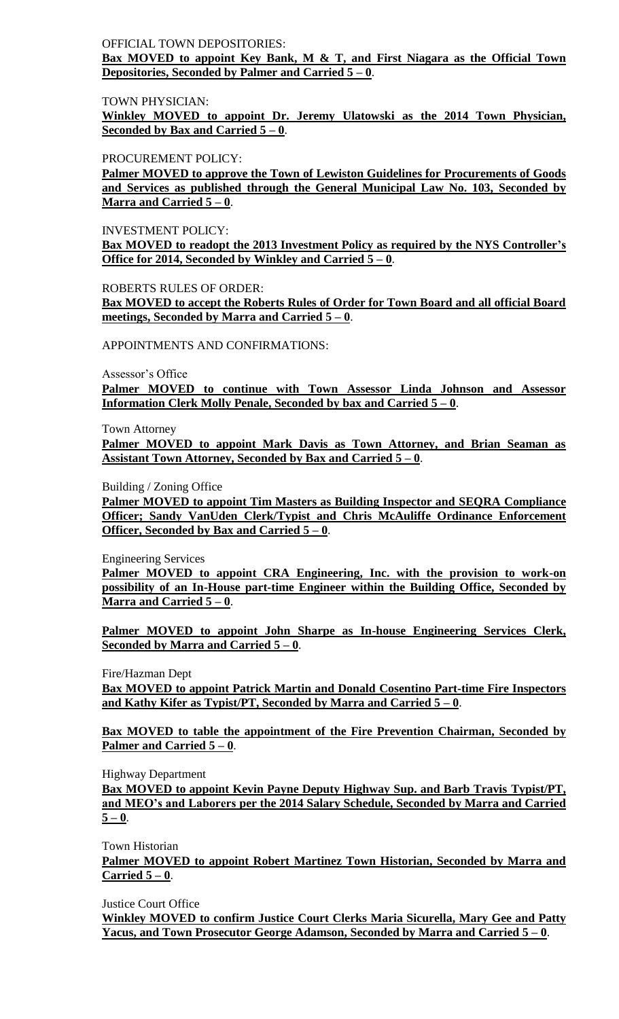## OFFICIAL TOWN DEPOSITORIES:

**Bax MOVED to appoint Key Bank, M & T, and First Niagara as the Official Town Depositories, Seconded by Palmer and Carried 5 – 0**.

TOWN PHYSICIAN:

**Winkley MOVED to appoint Dr. Jeremy Ulatowski as the 2014 Town Physician, Seconded by Bax and Carried 5 – 0**.

PROCUREMENT POLICY:

**Palmer MOVED to approve the Town of Lewiston Guidelines for Procurements of Goods and Services as published through the General Municipal Law No. 103, Seconded by Marra and Carried 5 – 0**.

INVESTMENT POLICY:

**Bax MOVED to readopt the 2013 Investment Policy as required by the NYS Controller's Office for 2014, Seconded by Winkley and Carried 5 – 0**.

ROBERTS RULES OF ORDER:

**Bax MOVED to accept the Roberts Rules of Order for Town Board and all official Board meetings, Seconded by Marra and Carried 5 – 0**.

APPOINTMENTS AND CONFIRMATIONS:

Assessor's Office

**Palmer MOVED to continue with Town Assessor Linda Johnson and Assessor Information Clerk Molly Penale, Seconded by bax and Carried 5 – 0**.

Town Attorney

**Palmer MOVED to appoint Mark Davis as Town Attorney, and Brian Seaman as Assistant Town Attorney, Seconded by Bax and Carried 5 – 0**.

Building / Zoning Office

**Palmer MOVED to appoint Tim Masters as Building Inspector and SEQRA Compliance Officer; Sandy VanUden Clerk/Typist and Chris McAuliffe Ordinance Enforcement Officer, Seconded by Bax and Carried 5 – 0**.

Engineering Services

**Palmer MOVED to appoint CRA Engineering, Inc. with the provision to work-on possibility of an In-House part-time Engineer within the Building Office, Seconded by Marra and Carried 5 – 0**.

**Palmer MOVED to appoint John Sharpe as In-house Engineering Services Clerk, Seconded by Marra and Carried 5 – 0**.

Fire/Hazman Dept

**Bax MOVED to appoint Patrick Martin and Donald Cosentino Part-time Fire Inspectors and Kathy Kifer as Typist/PT, Seconded by Marra and Carried 5 – 0**.

**Bax MOVED to table the appointment of the Fire Prevention Chairman, Seconded by Palmer and Carried 5 – 0**.

Highway Department

**Bax MOVED to appoint Kevin Payne Deputy Highway Sup. and Barb Travis Typist/PT, and MEO's and Laborers per the 2014 Salary Schedule, Seconded by Marra and Carried**   $5 - 0$ .

Town Historian

**Palmer MOVED to appoint Robert Martinez Town Historian, Seconded by Marra and Carried 5 – 0**.

Justice Court Office

**Winkley MOVED to confirm Justice Court Clerks Maria Sicurella, Mary Gee and Patty Yacus, and Town Prosecutor George Adamson, Seconded by Marra and Carried 5 – 0**.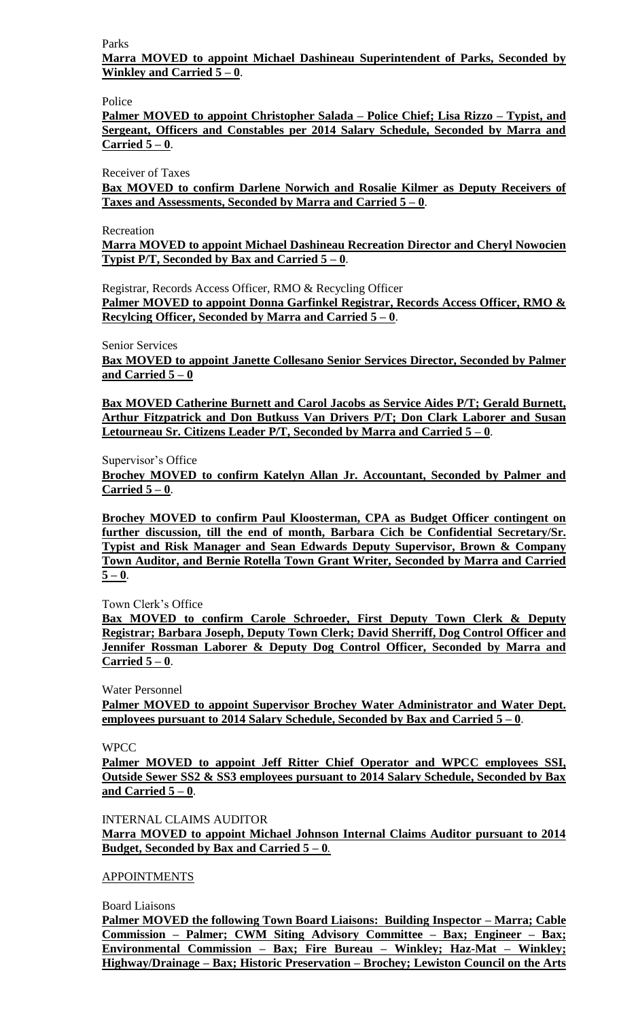Parks

**Marra MOVED to appoint Michael Dashineau Superintendent of Parks, Seconded by Winkley and Carried 5 – 0**.

Police

**Palmer MOVED to appoint Christopher Salada – Police Chief; Lisa Rizzo – Typist, and Sergeant, Officers and Constables per 2014 Salary Schedule, Seconded by Marra and Carried 5 – 0**.

Receiver of Taxes

**Bax MOVED to confirm Darlene Norwich and Rosalie Kilmer as Deputy Receivers of Taxes and Assessments, Seconded by Marra and Carried 5 – 0**.

Recreation

**Marra MOVED to appoint Michael Dashineau Recreation Director and Cheryl Nowocien Typist P/T, Seconded by Bax and Carried 5 – 0**.

Registrar, Records Access Officer, RMO & Recycling Officer

**Palmer MOVED to appoint Donna Garfinkel Registrar, Records Access Officer, RMO & Recylcing Officer, Seconded by Marra and Carried 5 – 0**.

Senior Services

**Bax MOVED to appoint Janette Collesano Senior Services Director, Seconded by Palmer and Carried 5 – 0**

**Bax MOVED Catherine Burnett and Carol Jacobs as Service Aides P/T; Gerald Burnett, Arthur Fitzpatrick and Don Butkuss Van Drivers P/T; Don Clark Laborer and Susan Letourneau Sr. Citizens Leader P/T, Seconded by Marra and Carried 5 – 0**.

Supervisor's Office

**Brochey MOVED to confirm Katelyn Allan Jr. Accountant, Seconded by Palmer and Carried 5 – 0**.

**Brochey MOVED to confirm Paul Kloosterman, CPA as Budget Officer contingent on further discussion, till the end of month, Barbara Cich be Confidential Secretary/Sr. Typist and Risk Manager and Sean Edwards Deputy Supervisor, Brown & Company Town Auditor, and Bernie Rotella Town Grant Writer, Seconded by Marra and Carried**   $5 - 0$ .

Town Clerk's Office

**Bax MOVED to confirm Carole Schroeder, First Deputy Town Clerk & Deputy Registrar; Barbara Joseph, Deputy Town Clerk; David Sherriff, Dog Control Officer and Jennifer Rossman Laborer & Deputy Dog Control Officer, Seconded by Marra and Carried 5 – 0**.

Water Personnel

**Palmer MOVED to appoint Supervisor Brochey Water Administrator and Water Dept. employees pursuant to 2014 Salary Schedule, Seconded by Bax and Carried 5 – 0**.

**WPCC** 

**Palmer MOVED to appoint Jeff Ritter Chief Operator and WPCC employees SSI, Outside Sewer SS2 & SS3 employees pursuant to 2014 Salary Schedule, Seconded by Bax and Carried 5 – 0**.

INTERNAL CLAIMS AUDITOR

**Marra MOVED to appoint Michael Johnson Internal Claims Auditor pursuant to 2014 Budget, Seconded by Bax and Carried 5 – 0***.*

APPOINTMENTS

Board Liaisons

**Palmer MOVED the following Town Board Liaisons: Building Inspector – Marra; Cable Commission – Palmer; CWM Siting Advisory Committee – Bax; Engineer – Bax; Environmental Commission – Bax; Fire Bureau – Winkley; Haz-Mat – Winkley; Highway/Drainage – Bax; Historic Preservation – Brochey; Lewiston Council on the Arts**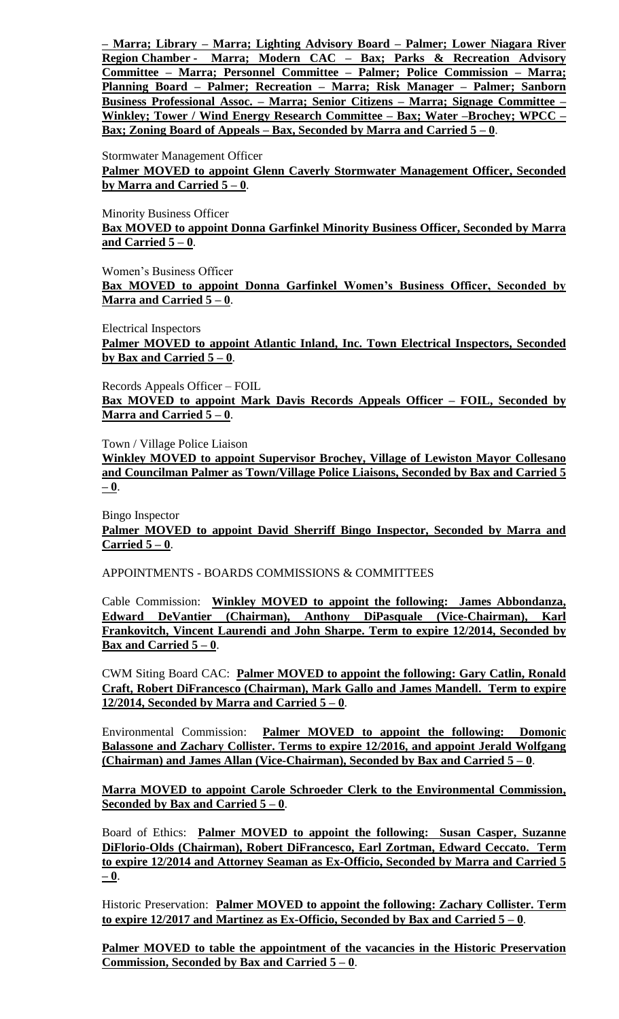**– Marra; Library – Marra; Lighting Advisory Board – Palmer; Lower Niagara River Region Chamber - Marra; Modern CAC – Bax; Parks & Recreation Advisory Committee – Marra; Personnel Committee – Palmer; Police Commission – Marra; Planning Board – Palmer; Recreation – Marra; Risk Manager – Palmer; Sanborn Business Professional Assoc. – Marra; Senior Citizens – Marra; Signage Committee – Winkley; Tower / Wind Energy Research Committee – Bax; Water –Brochey; WPCC – Bax; Zoning Board of Appeals – Bax, Seconded by Marra and Carried 5 – 0**.

Stormwater Management Officer

**Palmer MOVED to appoint Glenn Caverly Stormwater Management Officer, Seconded by Marra and Carried 5 – 0**.

Minority Business Officer

**Bax MOVED to appoint Donna Garfinkel Minority Business Officer, Seconded by Marra and Carried 5 – 0**.

Women's Business Officer

**Bax MOVED to appoint Donna Garfinkel Women's Business Officer, Seconded by Marra and Carried**  $5 - 0$ **.** 

Electrical Inspectors

**Palmer MOVED to appoint Atlantic Inland, Inc. Town Electrical Inspectors, Seconded**  by Bax and Carried  $5 - 0$ .

Records Appeals Officer – FOIL **Bax MOVED to appoint Mark Davis Records Appeals Officer – FOIL, Seconded by Marra and Carried 5 – 0**.

Town / Village Police Liaison

**Winkley MOVED to appoint Supervisor Brochey, Village of Lewiston Mayor Collesano and Councilman Palmer as Town/Village Police Liaisons, Seconded by Bax and Carried 5 – 0**.

Bingo Inspector **Palmer MOVED to appoint David Sherriff Bingo Inspector, Seconded by Marra and Carried 5 – 0**.

APPOINTMENTS - BOARDS COMMISSIONS & COMMITTEES

Cable Commission: **Winkley MOVED to appoint the following: James Abbondanza, Edward DeVantier (Chairman), Anthony DiPasquale (Vice-Chairman), Karl Frankovitch, Vincent Laurendi and John Sharpe. Term to expire 12/2014, Seconded by Bax and Carried**  $5 - 0$ **.** 

CWM Siting Board CAC: **Palmer MOVED to appoint the following: Gary Catlin, Ronald Craft, Robert DiFrancesco (Chairman), Mark Gallo and James Mandell. Term to expire 12/2014, Seconded by Marra and Carried 5 – 0**.

Environmental Commission: **Palmer MOVED to appoint the following: Domonic Balassone and Zachary Collister. Terms to expire 12/2016, and appoint Jerald Wolfgang (Chairman) and James Allan (Vice-Chairman), Seconded by Bax and Carried 5 – 0**.

**Marra MOVED to appoint Carole Schroeder Clerk to the Environmental Commission, Seconded by Bax and Carried 5 – 0**.

Board of Ethics: **Palmer MOVED to appoint the following: Susan Casper, Suzanne DiFlorio-Olds (Chairman), Robert DiFrancesco, Earl Zortman, Edward Ceccato. Term to expire 12/2014 and Attorney Seaman as Ex-Officio, Seconded by Marra and Carried 5 – 0**.

Historic Preservation: **Palmer MOVED to appoint the following: Zachary Collister. Term to expire 12/2017 and Martinez as Ex-Officio, Seconded by Bax and Carried 5 – 0**.

Palmer MOVED to table the appointment of the vacancies in the Historic Preservation **Commission, Seconded by Bax and Carried 5 – 0**.